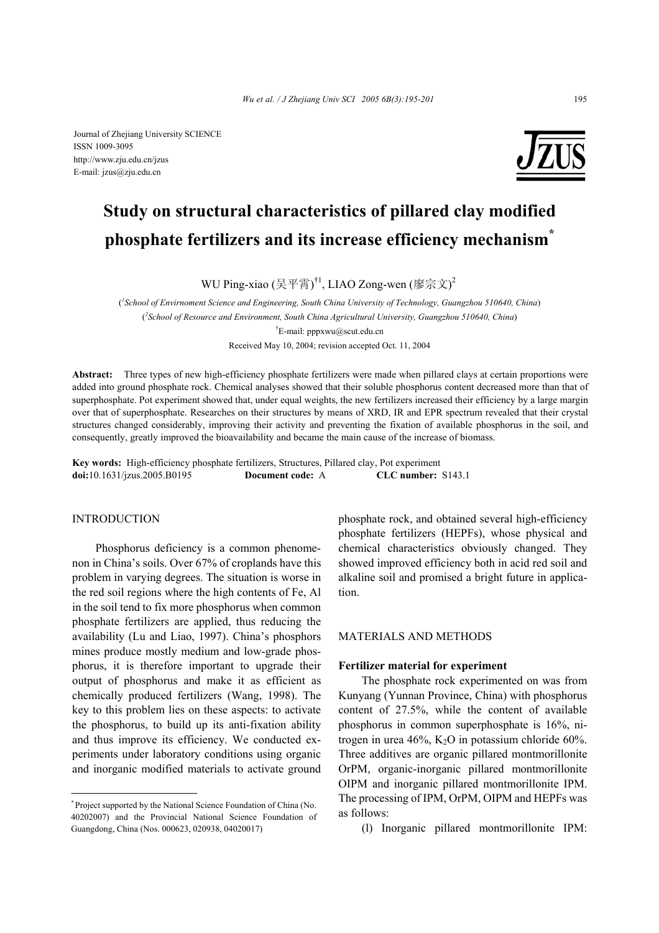Journal of Zhejiang University SCIENCE ISSN 1009-3095 http://www.zju.edu.cn/jzus E-mail: jzus@zju.edu.cn



# **Study on structural characteristics of pillared clay modified phosphate fertilizers and its increase efficiency mechanism\***

WU Ping-xiao (吴平霄) $^{\dagger1}$ , LIAO Zong-wen (廖宗文) $^2$ 

( *1 School of Envirnoment Science and Engineering, South China University of Technology, Guangzhou 510640, China*) ( *2 School of Resource and Environment, South China Agricultural University, Guangzhou 510640, China*) † E-mail: pppxwu@scut.edu.cn

Received May 10, 2004; revision accepted Oct. 11, 2004

**Abstract:** Three types of new high-efficiency phosphate fertilizers were made when pillared clays at certain proportions were added into ground phosphate rock. Chemical analyses showed that their soluble phosphorus content decreased more than that of superphosphate. Pot experiment showed that, under equal weights, the new fertilizers increased their efficiency by a large margin over that of superphosphate. Researches on their structures by means of XRD, IR and EPR spectrum revealed that their crystal structures changed considerably, improving their activity and preventing the fixation of available phosphorus in the soil, and consequently, greatly improved the bioavailability and became the main cause of the increase of biomass.

**Key words:** High-efficiency phosphate fertilizers, Structures, Pillared clay, Pot experiment **doi:**10.1631/jzus.2005.B0195 **Document code:** A **CLC number:** S143.1

# INTRODUCTION

Phosphorus deficiency is a common phenomenon in China's soils. Over 67% of croplands have this problem in varying degrees. The situation is worse in the red soil regions where the high contents of Fe, Al in the soil tend to fix more phosphorus when common phosphate fertilizers are applied, thus reducing the availability (Lu and Liao, 1997). China's phosphors mines produce mostly medium and low-grade phosphorus, it is therefore important to upgrade their output of phosphorus and make it as efficient as chemically produced fertilizers (Wang, 1998). The key to this problem lies on these aspects: to activate the phosphorus, to build up its anti-fixation ability and thus improve its efficiency. We conducted experiments under laboratory conditions using organic and inorganic modified materials to activate ground

phosphate rock, and obtained several high-efficiency phosphate fertilizers (HEPFs), whose physical and chemical characteristics obviously changed. They showed improved efficiency both in acid red soil and alkaline soil and promised a bright future in application.

# MATERIALS AND METHODS

# **Fertilizer material for experiment**

The phosphate rock experimented on was from Kunyang (Yunnan Province, China) with phosphorus content of 27.5%, while the content of available phosphorus in common superphosphate is 16%, nitrogen in urea  $46\%$ , K<sub>2</sub>O in potassium chloride  $60\%$ . Three additives are organic pillared montmorillonite OrPM, organic-inorganic pillared montmorillonite OIPM and inorganic pillared montmorillonite IPM. The processing of IPM, OrPM, OIPM and HEPFs was as follows:

(l) Inorganic pillared montmorillonite IPM:

<sup>\*</sup> Project supported by the National Science Foundation of China (No. 40202007) and the Provincial National Science Foundation of Guangdong, China (Nos. 000623, 020938, 04020017)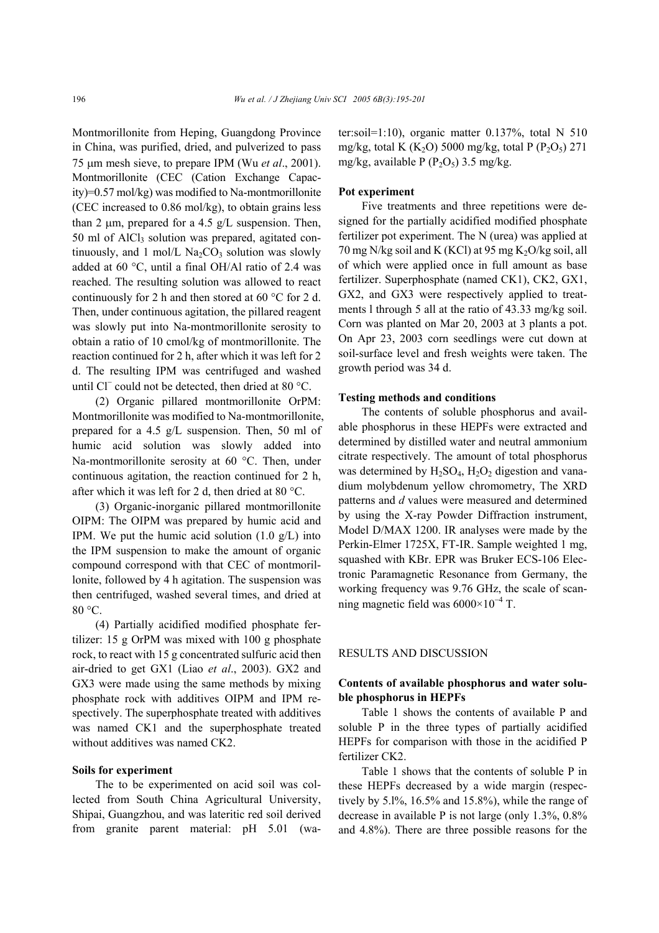Montmorillonite from Heping, Guangdong Province in China, was purified, dried, and pulverized to pass 75 µm mesh sieve, to prepare IPM (Wu *et al*., 2001). Montmorillonite (CEC (Cation Exchange Capacity)=0.57 mol/kg) was modified to Na-montmorillonite (CEC increased to 0.86 mol/kg), to obtain grains less than 2  $\mu$ m, prepared for a 4.5 g/L suspension. Then,  $50$  ml of AlCl<sub>3</sub> solution was prepared, agitated continuously, and 1 mol/L  $Na<sub>2</sub>CO<sub>3</sub>$  solution was slowly added at 60 °C, until a final OH/Al ratio of 2.4 was reached. The resulting solution was allowed to react continuously for 2 h and then stored at 60 °C for 2 d. Then, under continuous agitation, the pillared reagent was slowly put into Na-montmorillonite serosity to obtain a ratio of 10 cmol/kg of montmorillonite. The reaction continued for 2 h, after which it was left for 2 d. The resulting IPM was centrifuged and washed until Cl<sup>−</sup> could not be detected, then dried at 80 °C.

(2) Organic pillared montmorillonite OrPM: Montmorillonite was modified to Na-montmorillonite, prepared for a 4.5 g/L suspension. Then, 50 ml of humic acid solution was slowly added into Na-montmorillonite serosity at 60 °C. Then, under continuous agitation, the reaction continued for 2 h, after which it was left for 2 d, then dried at 80 °C.

(3) Organic-inorganic pillared montmorillonite OIPM: The OIPM was prepared by humic acid and IPM. We put the humic acid solution  $(1.0 \text{ g/L})$  into the IPM suspension to make the amount of organic compound correspond with that CEC of montmorillonite, followed by 4 h agitation. The suspension was then centrifuged, washed several times, and dried at 80 °C.

(4) Partially acidified modified phosphate fertilizer: 15 g OrPM was mixed with 100 g phosphate rock, to react with 15 g concentrated sulfuric acid then air-dried to get GX1 (Liao *et al*., 2003). GX2 and GX3 were made using the same methods by mixing phosphate rock with additives OIPM and IPM respectively. The superphosphate treated with additives was named CK1 and the superphosphate treated without additives was named CK2.

## **Soils for experiment**

The to be experimented on acid soil was collected from South China Agricultural University, Shipai, Guangzhou, and was lateritic red soil derived from granite parent material: pH 5.01 (water:soil=1:10), organic matter 0.137%, total N 510 mg/kg, total K (K<sub>2</sub>O) 5000 mg/kg, total P (P<sub>2</sub>O<sub>5</sub>) 271 mg/kg, available P ( $P_2O_5$ ) 3.5 mg/kg.

# **Pot experiment**

Five treatments and three repetitions were designed for the partially acidified modified phosphate fertilizer pot experiment. The N (urea) was applied at 70 mg N/kg soil and K (KCl) at 95 mg  $K_2O/kg$  soil, all of which were applied once in full amount as base fertilizer. Superphosphate (named CK1), CK2, GX1, GX2, and GX3 were respectively applied to treatments l through 5 all at the ratio of 43.33 mg/kg soil. Corn was planted on Mar 20, 2003 at 3 plants a pot. On Apr 23, 2003 corn seedlings were cut down at soil-surface level and fresh weights were taken. The growth period was 34 d.

#### **Testing methods and conditions**

The contents of soluble phosphorus and available phosphorus in these HEPFs were extracted and determined by distilled water and neutral ammonium citrate respectively. The amount of total phosphorus was determined by  $H_2SO_4$ ,  $H_2O_2$  digestion and vanadium molybdenum yellow chromometry, The XRD patterns and *d* values were measured and determined by using the X-ray Powder Diffraction instrument, Model D/MAX 1200. IR analyses were made by the Perkin-Elmer 1725X, FT-IR. Sample weighted 1 mg, squashed with KBr. EPR was Bruker ECS-106 Electronic Paramagnetic Resonance from Germany, the working frequency was 9.76 GHz, the scale of scanning magnetic field was  $6000\times10^{-4}$  T.

# RESULTS AND DISCUSSION

# **Contents of available phosphorus and water soluble phosphorus in HEPFs**

Table 1 shows the contents of available P and soluble P in the three types of partially acidified HEPFs for comparison with those in the acidified P fertilizer CK2.

Table 1 shows that the contents of soluble P in these HEPFs decreased by a wide margin (respectively by 5.l%, 16.5% and 15.8%), while the range of decrease in available P is not large (only 1.3%, 0.8% and 4.8%). There are three possible reasons for the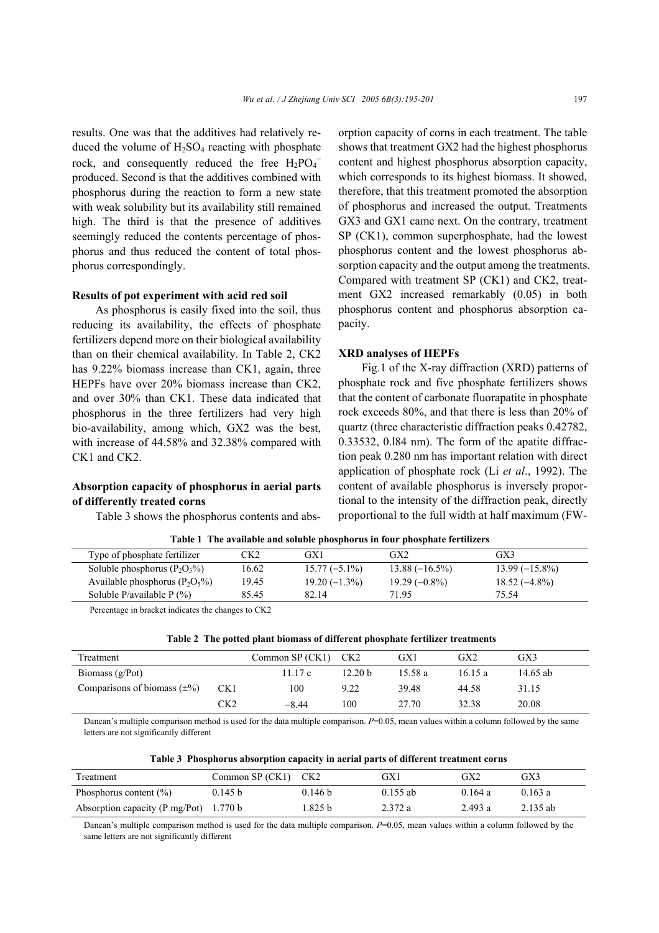results. One was that the additives had relatively reduced the volume of  $H_2SO_4$  reacting with phosphate rock, and consequently reduced the free  $H_2PO_4^$ produced. Second is that the additives combined with phosphorus during the reaction to form a new state with weak solubility but its availability still remained high. The third is that the presence of additives seemingly reduced the contents percentage of phosphorus and thus reduced the content of total phosphorus correspondingly.

### **Results of pot experiment with acid red soil**

As phosphorus is easily fixed into the soil, thus reducing its availability, the effects of phosphate fertilizers depend more on their biological availability than on their chemical availability. In Table 2, CK2 has 9.22% biomass increase than CK1, again, three HEPFs have over 20% biomass increase than CK2, and over 30% than CK1. These data indicated that phosphorus in the three fertilizers had very high bio-availability, among which, GX2 was the best, with increase of 44.58% and 32.38% compared with CK1 and CK2.

# **Absorption capacity of phosphorus in aerial parts of differently treated corns**

Table 3 shows the phosphorus contents and abs-

orption capacity of corns in each treatment. The table shows that treatment GX2 had the highest phosphorus content and highest phosphorus absorption capacity, which corresponds to its highest biomass. It showed, therefore, that this treatment promoted the absorption of phosphorus and increased the output. Treatments GX3 and GX1 came next. On the contrary, treatment SP (CK1), common superphosphate, had the lowest phosphorus content and the lowest phosphorus absorption capacity and the output among the treatments. Compared with treatment SP (CK1) and CK2, treatment GX2 increased remarkably (0.05) in both phosphorus content and phosphorus absorption capacity.

### **XRD analyses of HEPFs**

Fig.1 of the X-ray diffraction (XRD) patterns of phosphate rock and five phosphate fertilizers shows that the content of carbonate fluorapatite in phosphate rock exceeds 80%, and that there is less than 20% of quartz (three characteristic diffraction peaks 0.42782, 0.33532, 0.l84 nm). The form of the apatite diffraction peak 0.280 nm has important relation with direct application of phosphate rock (Li *et al*., 1992). The content of available phosphorus is inversely proportional to the intensity of the diffraction peak, directly proportional to the full width at half maximum (FW-

| Tubic 1 The available and soluble phosphorus in four phosphate fertilizers |       |                 |                 |                  |  |  |  |
|----------------------------------------------------------------------------|-------|-----------------|-----------------|------------------|--|--|--|
| Type of phosphate fertilizer                                               | CK2   | GX1             | GX2             | GX3              |  |  |  |
| Soluble phosphorus $(P_2O_5\%)$                                            | 16.62 | $15.77(-5.1\%)$ | $13.88(-16.5%)$ | $13.99(-15.8\%)$ |  |  |  |
| Available phosphorus $(P_2O_5\%)$                                          | 19.45 | $19.20(-1.3\%)$ | $19.29(-0.8\%)$ | $18.52(-4.8\%)$  |  |  |  |
| Soluble P/available $P$ (%)                                                | 85.45 | 82.14           | 71.95           | 75.54            |  |  |  |

**Table 1 The available and soluble phosphorus in four phosphate fertilizers** 

Percentage in bracket indicates the changes to CK2

|  | Table 2 The potted plant biomass of different phosphate fertilizer treatments |  |  |
|--|-------------------------------------------------------------------------------|--|--|
|  |                                                                               |  |  |

| Treatment                        |                 | Common SP (CK1) | CK2                | GX1     | GX <sub>2</sub> | GX3      |  |
|----------------------------------|-----------------|-----------------|--------------------|---------|-----------------|----------|--|
| Biomass $(g/Pot)$                |                 | 11.17c          | 12.20 <sub>b</sub> | 15.58 a | 16.15a          | 14.65 ab |  |
| Comparisons of biomass $(\pm\%)$ | CK <sub>1</sub> | 100             | 9.22               | 39.48   | 44.58           | 31.15    |  |
|                                  | CK2             | $-844$          | 100                | 27.70   | 32.38           | 20.08    |  |

Dancan's multiple comparison method is used for the data multiple comparison.  $P=0.05$ , mean values within a column followed by the same letters are not significantly different

|  |  |  | Table 3 Phosphorus absorption capacity in aerial parts of different treatment corns |
|--|--|--|-------------------------------------------------------------------------------------|
|  |  |  |                                                                                     |

| Treatment                                | Common $SP (CK1)$ $CK2$ |                    | GX1        | GX2     | GX3        |
|------------------------------------------|-------------------------|--------------------|------------|---------|------------|
| Phosphorus content $(\% )$               | 0.145 b                 | 0.146 <sub>b</sub> | $0.155$ ab | 0.164a  | 0.163a     |
| Absorption capacity (P mg/Pot) $1.770 b$ |                         | l.825 b            | 2.372 a    | 2.493 a | $2.135$ ab |

Dancan's multiple comparison method is used for the data multiple comparison. *P*=0.05, mean values within a column followed by the same letters are not significantly different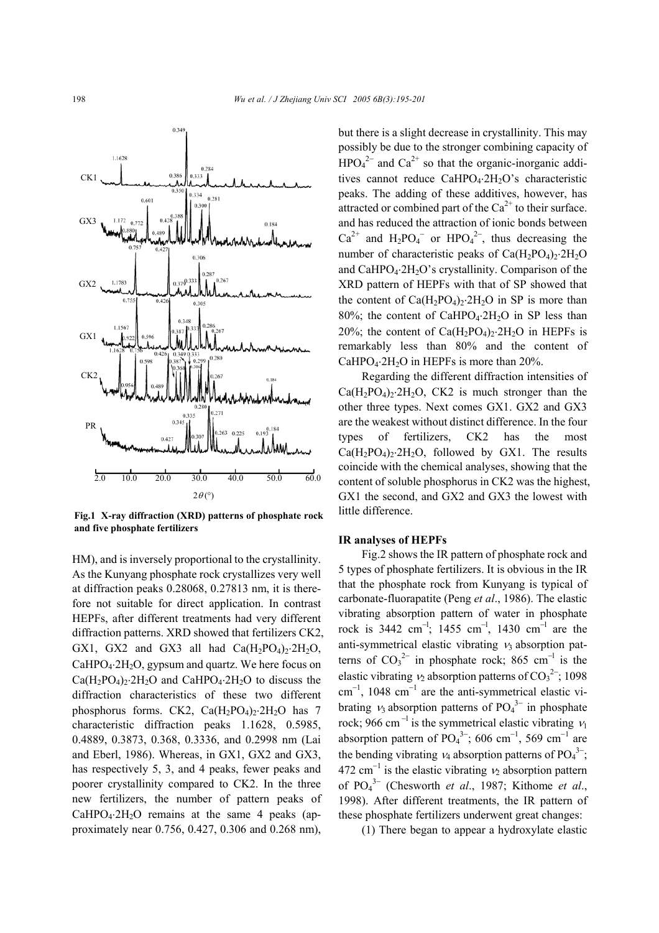

**Fig.1 X-ray diffraction (XRD) patterns of phosphate rock and five phosphate fertilizers** 

HM), and is inversely proportional to the crystallinity. As the Kunyang phosphate rock crystallizes very well at diffraction peaks 0.28068, 0.27813 nm, it is therefore not suitable for direct application. In contrast HEPFs, after different treatments had very different diffraction patterns. XRD showed that fertilizers CK2, GX1, GX2 and GX3 all had  $Ca(H_2PO_4)_2.2H_2O$ ,  $CaHPO<sub>4</sub>·2H<sub>2</sub>O$ , gypsum and quartz. We here focus on  $Ca(H_2PO_4)_2.2H_2O$  and  $CaHPO_4.2H_2O$  to discuss the diffraction characteristics of these two different phosphorus forms. CK2,  $Ca(H_2PO_4)_2.2H_2O$  has 7 characteristic diffraction peaks 1.1628, 0.5985, 0.4889, 0.3873, 0.368, 0.3336, and 0.2998 nm (Lai and Eberl, 1986). Whereas, in GX1, GX2 and GX3, has respectively 5, 3, and 4 peaks, fewer peaks and poorer crystallinity compared to CK2. In the three new fertilizers, the number of pattern peaks of  $CaHPO<sub>4</sub>·2H<sub>2</sub>O$  remains at the same 4 peaks (approximately near 0.756, 0.427, 0.306 and 0.268 nm),

but there is a slight decrease in crystallinity. This may possibly be due to the stronger combining capacity of  $HPO<sub>4</sub><sup>2-</sup>$  and  $Ca<sup>2+</sup>$  so that the organic-inorganic additives cannot reduce CaHPO4⋅2H2O's characteristic peaks. The adding of these additives, however, has attracted or combined part of the  $Ca^{2+}$  to their surface. and has reduced the attraction of ionic bonds between  $Ca^{2+}$  and  $H_2PO_4^-$  or  $HPO_4^{2-}$ , thus decreasing the number of characteristic peaks of  $Ca(H_2PO_4)_2.2H_2O$ and CaHPO<sub>4</sub>⋅2H<sub>2</sub>O's crystallinity. Comparison of the XRD pattern of HEPFs with that of SP showed that the content of  $Ca(H_2PO_4)_2.2H_2O$  in SP is more than 80%; the content of CaHPO4⋅2H2O in SP less than 20%; the content of  $Ca(H_2PO_4)_2.2H_2O$  in HEPFs is remarkably less than 80% and the content of CaHPO<sub>4</sub>⋅2H<sub>2</sub>O in HEPFs is more than  $20\%$ .

Regarding the different diffraction intensities of  $Ca(H_2PO_4)_2·2H_2O$ , CK2 is much stronger than the other three types. Next comes GX1. GX2 and GX3 are the weakest without distinct difference. In the four types of fertilizers, CK2 has the most  $Ca(H_2PO_4)_2.2H_2O$ , followed by GX1. The results coincide with the chemical analyses, showing that the content of soluble phosphorus in CK2 was the highest, GX1 the second, and GX2 and GX3 the lowest with little difference.

## **IR analyses of HEPFs**

Fig.2 shows the IR pattern of phosphate rock and 5 types of phosphate fertilizers. It is obvious in the IR that the phosphate rock from Kunyang is typical of carbonate-fluorapatite (Peng *et al*., 1986). The elastic vibrating absorption pattern of water in phosphate rock is 3442 cm<sup>-1</sup>; 1455 cm<sup>-1</sup>, 1430 cm<sup>-1</sup> are the anti-symmetrical elastic vibrating  $v_3$  absorption patterns of  $CO_3^2$  in phosphate rock; 865 cm<sup>-1</sup> is the elastic vibrating  $v_2$  absorption patterns of  $CO_3^2$ ; 1098 cm<sup>-1</sup>, 1048 cm<sup>-1</sup> are the anti-symmetrical elastic vibrating  $v_3$  absorption patterns of PO<sub>4</sub><sup>3-</sup> in phosphate rock; 966 cm<sup>-l</sup> is the symmetrical elastic vibrating  $v_1$ absorption pattern of  $PO<sub>4</sub><sup>3−</sup>$ ; 606 cm<sup>-1</sup>, 569 cm<sup>-1</sup> are the bending vibrating  $v_4$  absorption patterns of PO<sub>4</sub><sup>3-</sup>; 472 cm<sup>-1</sup> is the elastic vibrating  $v_2$  absorption pattern of PO4 3− (Chesworth *et al*., 1987; Kithome *et al*., 1998). After different treatments, the IR pattern of these phosphate fertilizers underwent great changes:

(1) There began to appear a hydroxylate elastic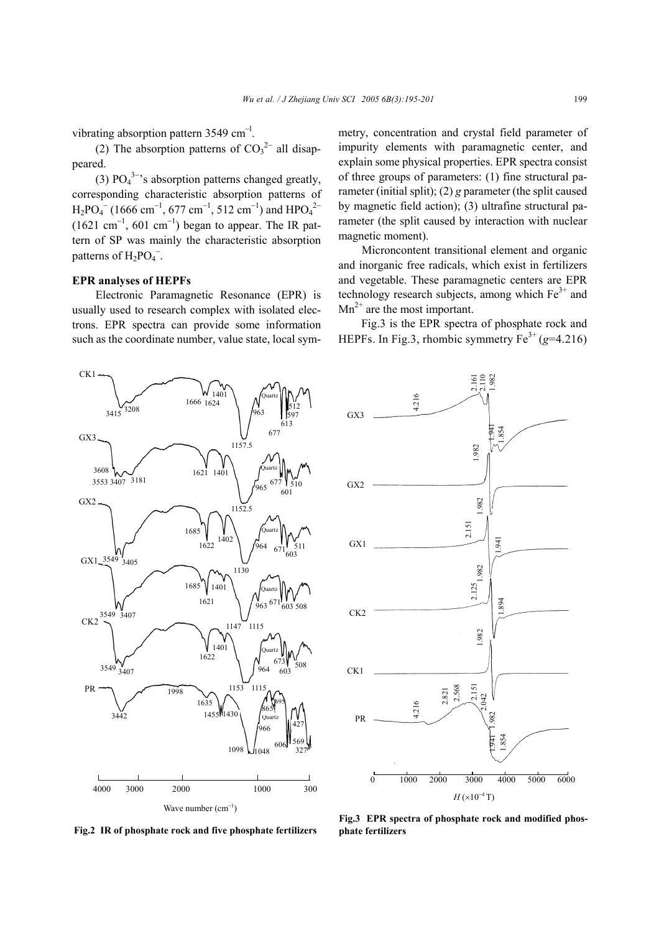vibrating absorption pattern 3549 cm<sup>-1</sup>.

(2) The absorption patterns of  $CO_3^2$ <sup>-</sup> all disappeared.

(3)  $PO_4^{3-\gamma}$ s absorption patterns changed greatly, corresponding characteristic absorption patterns of  $H_2PO_4^-$  (1666 cm<sup>-1</sup>, 677 cm<sup>-1</sup>, 512 cm<sup>-1</sup>) and HPO<sub>4</sub><sup>2-</sup>  $(1621 \text{ cm}^{-1}, 601 \text{ cm}^{-1})$  began to appear. The IR pattern of SP was mainly the characteristic absorption patterns of  $H_2PO_4^-$ .

# **EPR analyses of HEPFs**

 $\frac{6}{3415}$ 3208

 $CK1$ 

Electronic Paramagnetic Resonance (EPR) is usually used to research complex with isolated electrons. EPR spectra can provide some information such as the coordinate number, value state, local sym-

> 1666 1624  $1401$

> > 963

Quartz

597

613 512 metry, concentration and crystal field parameter of impurity elements with paramagnetic center, and explain some physical properties. EPR spectra consist of three groups of parameters: (1) fine structural parameter (initial split); (2) *g* parameter (the split caused by magnetic field action); (3) ultrafine structural parameter (the split caused by interaction with nuclear magnetic moment).

Microncontent transitional element and organic and inorganic free radicals, which exist in fertilizers and vegetable. These paramagnetic centers are EPR technology research subjects, among which  $Fe<sup>3+</sup>$  and  $Mn^{2+}$  are the most important.

Fig.3 is the EPR spectra of phosphate rock and HEPFs. In Fig.3, rhombic symmetry  $Fe^{3+} (g=4.216)$ 



0 1000 2000 3000 4000 5000 6000  $H$ (×10<sup>-4</sup> T) PR CK1 CK2 GX1 GX2 GX3 2.125 1.894 1.982 4.216 2.161<br>2.110 1.982 1.941 1.854 1.982 2.151 1.982 1.941 4.216 1.982 2.151 2.042 1.941 1.854 2.568 2.821 1.982

**Fig.2 IR of phosphate rock and five phosphate fertilizers phate fertilizers** 

**Fig.3 EPR spectra of phosphate rock and modified phos-**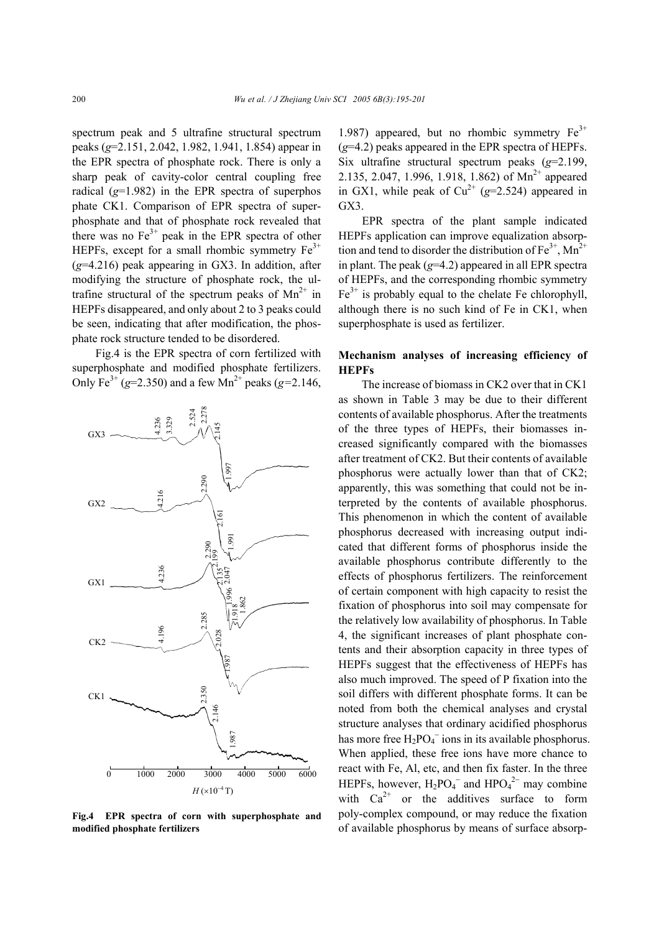spectrum peak and 5 ultrafine structural spectrum peaks (*g*=2.151, 2.042, 1.982, 1.941, 1.854) appear in the EPR spectra of phosphate rock. There is only a sharp peak of cavity-color central coupling free radical (*g*=1.982) in the EPR spectra of superphos phate CK1. Comparison of EPR spectra of superphosphate and that of phosphate rock revealed that there was no  $Fe<sup>3+</sup>$  peak in the EPR spectra of other HEPFs, except for a small rhombic symmetry  $Fe<sup>3+</sup>$ (*g*=4.216) peak appearing in GX3. In addition, after modifying the structure of phosphate rock, the ultrafine structural of the spectrum peaks of  $Mn^{2+}$  in HEPFs disappeared, and only about 2 to 3 peaks could be seen, indicating that after modification, the phosphate rock structure tended to be disordered.

Fig.4 is the EPR spectra of corn fertilized with superphosphate and modified phosphate fertilizers. Only Fe<sup>3+</sup> (*g*=2.350) and a few Mn<sup>2+</sup> peaks (*g*=2.146,



**Fig.4 EPR spectra of corn with superphosphate and modified phosphate fertilizers** 

1.987) appeared, but no rhombic symmetry  $Fe<sup>3+</sup>$ (*g*=4.2) peaks appeared in the EPR spectra of HEPFs. Six ultrafine structural spectrum peaks (*g*=2.199, 2.135, 2.047, 1.996, 1.918, 1.862) of  $Mn^{2+}$  appeared in GX1, while peak of  $Cu^{2+}$  ( $g=2.524$ ) appeared in GX3.

EPR spectra of the plant sample indicated HEPFs application can improve equalization absorption and tend to disorder the distribution of  $Fe^{3+}$ , Mn<sup>2+</sup> in plant. The peak (*g*=4.2) appeared in all EPR spectra of HEPFs, and the corresponding rhombic symmetry  $Fe<sup>3+</sup>$  is probably equal to the chelate Fe chlorophyll, although there is no such kind of Fe in CK1, when superphosphate is used as fertilizer.

# **Mechanism analyses of increasing efficiency of HEPFs**

The increase of biomass in CK2 over that in CK1 as shown in Table 3 may be due to their different contents of available phosphorus. After the treatments of the three types of HEPFs, their biomasses increased significantly compared with the biomasses after treatment of CK2. But their contents of available phosphorus were actually lower than that of CK2; apparently, this was something that could not be interpreted by the contents of available phosphorus. This phenomenon in which the content of available phosphorus decreased with increasing output indicated that different forms of phosphorus inside the available phosphorus contribute differently to the effects of phosphorus fertilizers. The reinforcement of certain component with high capacity to resist the fixation of phosphorus into soil may compensate for the relatively low availability of phosphorus. In Table 4, the significant increases of plant phosphate contents and their absorption capacity in three types of HEPFs suggest that the effectiveness of HEPFs has also much improved. The speed of P fixation into the soil differs with different phosphate forms. It can be noted from both the chemical analyses and crystal structure analyses that ordinary acidified phosphorus has more free  $H_2PO_4^-$  ions in its available phosphorus. When applied, these free ions have more chance to react with Fe, Al, etc, and then fix faster. In the three HEPFs, however,  $H_2PO_4^-$  and  $HPO_4^{2-}$  may combine with  $Ca^{2+}$  or the additives surface to form poly-complex compound, or may reduce the fixation of available phosphorus by means of surface absorp